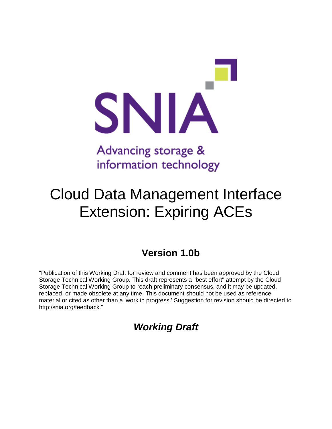

# information technology

## Cloud Data Management Interface Extension: Expiring ACEs

## **Version 1.0b**

"Publication of this Working Draft for review and comment has been approved by the Cloud Storage Technical Working Group. This draft represents a "best effort" attempt by the Cloud Storage Technical Working Group to reach preliminary consensus, and it may be updated, replaced, or made obsolete at any time. This document should not be used as reference material or cited as other than a 'work in progress.' Suggestion for revision should be directed to http:/snia.org/feedback."

### *Working Draft*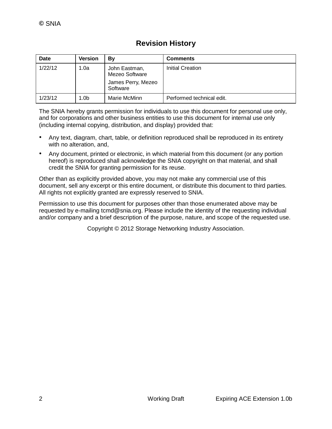#### **Revision History**

| Date    | <b>Version</b>   | Bv                                                                | <b>Comments</b>           |
|---------|------------------|-------------------------------------------------------------------|---------------------------|
| 1/22/12 | 1.0a             | John Eastman,<br>Mezeo Software<br>James Perry, Mezeo<br>Software | Initial Creation          |
| 1/23/12 | 1.0 <sub>b</sub> | Marie McMinn                                                      | Performed technical edit. |

The SNIA hereby grants permission for individuals to use this document for personal use only, and for corporations and other business entities to use this document for internal use only (including internal copying, distribution, and display) provided that:

- Any text, diagram, chart, table, or definition reproduced shall be reproduced in its entirety with no alteration, and,
- Any document, printed or electronic, in which material from this document (or any portion hereof) is reproduced shall acknowledge the SNIA copyright on that material, and shall credit the SNIA for granting permission for its reuse.

Other than as explicitly provided above, you may not make any commercial use of this document, sell any excerpt or this entire document, or distribute this document to third parties. All rights not explicitly granted are expressly reserved to SNIA.

Permission to use this document for purposes other than those enumerated above may be requested by e-mailing tcmd@snia.org. Please include the identity of the requesting individual and/or company and a brief description of the purpose, nature, and scope of the requested use.

Copyright © 2012 Storage Networking Industry Association.